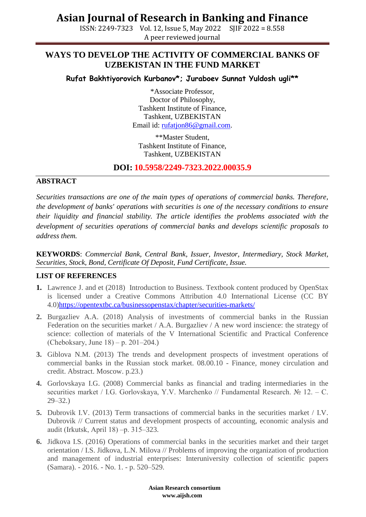## **Asian Journal of Research in Banking and Finance**

ISSN: 2249-7323 Vol. 12, Issue 5, May 2022 SJIF 2022 = 8.558 A peer reviewed journal

### **WAYS TO DEVELOP THE ACTIVITY OF COMMERCIAL BANKS OF UZBEKISTAN IN THE FUND MARKET**

**Rufat Bakhtiyorovich Kurbanov\*; Juraboev Sunnat Yuldosh ugli\*\***

\*Associate Professor, Doctor of Philosophy, Tashkent Institute of Finance, Tashkent, UZBEKISTAN Email id: [rufatjon86@gmail.com.](mailto:rufatjon86@gmail.com)

\*\*Master Student, Tashkent Institute of Finance, Tashkent, UZBEKISTAN

### **DOI: 10.5958/2249-7323.2022.00035.9**

#### **ABSTRACT**

*Securities transactions are one of the main types of operations of commercial banks. Therefore, the development of banks' operations with securities is one of the necessary conditions to ensure their liquidity and financial stability. The article identifies the problems associated with the development of securities operations of commercial banks and develops scientific proposals to address them.*

**KEYWORDS**: *Commercial Bank, Central Bank, Issuer, Investor, Intermediary, Stock Market, Securities, Stock, Bond, Certificate Of Deposit, Fund Certificate, Issue.*

#### **LIST OF REFERENCES**

- **1.** Lawrence J. and et (2018) Introduction to Business. Textbook content produced by OpenStax is licensed under a Creative Commons Attribution 4.0 International License (CC BY 4.0[\)https://opentextbc.ca/businessopenstax/chapter/securities-markets/](https://opentextbc.ca/businessopenstax/chapter/securities-markets/)
- **2.** Burgazliev A.A. (2018) Analysis of investments of commercial banks in the Russian Federation on the securities market  $/$  A.A. Burgazliev  $/$  A new word inscience: the strategy of science: collection of materials of the V International Scientific and Practical Conference (Cheboksary, June  $18$ ) – p. 201–204.)
- **3.** Giblova N.M. (2013) The trends and development prospects of investment operations of commercial banks in the Russian stock market. 08.00.10 - Finance, money circulation and credit. Abstract. Moscow. p.23.)
- **4.** Gorlovskaya I.G. (2008) Commercial banks as financial and trading intermediaries in the securities market / I.G. Gorlovskaya, Y.V. Marchenko // Fundamental Research. № 12. – C. 29–32.)
- **5.** Dubrovik I.V. (2013) Term transactions of commercial banks in the securities market / I.V. Dubrovik // Current status and development prospects of accounting, economic analysis and audit (Irkutsk, April 18) ‒p. 315–323.
- **6.** Jidkova I.S. (2016) Operations of commercial banks in the securities market and their target orientation / I.S. Jidkova, L.N. Milova // Problems of improving the organization of production and management of industrial enterprises: Interuniversity collection of scientific papers (Samara). - 2016. - No. 1. - p. 520–529.

 **Asian Research consortium www.aijsh.com**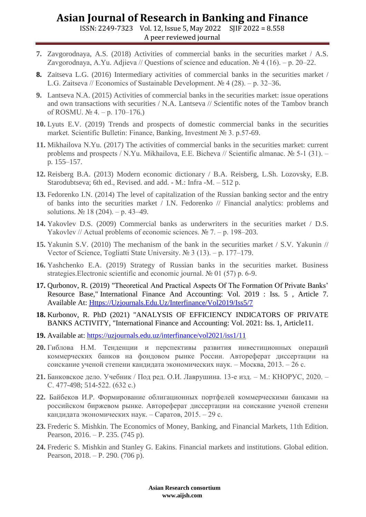### **Asian Journal of Research in Banking and Finance**

ISSN: 2249-7323 Vol. 12, Issue 5, May 2022 SJIF 2022 = 8.558 A peer reviewed journal

- **7.** Zavgorodnaya, A.S. (2018) Activities of commercial banks in the securities market / A.S. Zavgorodnaya, A.Yu. Adjieva // Questions of science and education.  $\mathcal{N}_2$  4 (16). – p. 20–22.
- **8.** Zaitseva L.G. (2016) Intermediary activities of commercial banks in the securities market / L.G. Zaitseva // Economics of Sustainable Development. № 4 (28). ‒ p. 32–36.
- **9.** Lantseva N.A. (2015) Activities of commercial banks in the securities market: issue operations and own transactions with securities / N.A. Lantseva // Scientific notes of the Tambov branch of ROSMU.  $\mathcal{N}_2$  4. – p. 170–176.)
- **10.** Lyuts E.V. (2019) Trends and prospects of domestic commercial banks in the securities market. Scientific Bulletin: Finance, Banking, Investment № 3. p.57-69.
- **11.** Mikhailova N.Yu. (2017) The activities of commercial banks in the securities market: current problems and prospects / N.Yu. Mikhailova, E.E. Bicheva // Scientific almanac. № 5-1 (31). – p. 155–157.
- **12.** Reisberg B.A. (2013) Modern economic dictionary / B.A. Reisberg, L.Sh. Lozovsky, E.B. Starodubtseva; 6th ed., Revised. and add. - M.: Infra -М. – 512 p.
- **13.** Fedorenko I.N. (2014) The level of capitalization of the Russian banking sector and the entry of banks into the securities market / I.N. Fedorenko // Financial analytics: problems and solutions. № 18 (204). – p. 43–49.
- **14.** Yakovlev D.S. (2009) Commercial banks as underwriters in the securities market / D.S. Yakovlev // Actual problems of economic sciences.  $N_2$  7. – p. 198–203.
- **15.** Yakunin S.V. (2010) The mechanism of the bank in the securities market / S.V. Yakunin // Vector of Science, Togliatti State University.  $\mathcal{N} \subseteq 3$  (13). – p. 177–179.
- **16.** Yashchenko E.A. (2019) Strategy of Russian banks in the securities market. Business strategies.Electronic scientific and economic journal. № 01 (57) p. 6-9.
- **17.** Qurbonov, R. (2019) "Theoretical And Practical Aspects Of The Formation Of Private Banks' Resource Base," International Finance And Accounting: Vol. 2019 : Iss. 5 , Article 7. Available At: [Https://Uzjournals.Edu.Uz/Interfinance/Vol2019/Iss5/7](https://uzjournals.edu.uz/interfinance/vol2019/iss5/7)
- **18.** Kurbonov, R. PhD (2021) "ANALYSIS OF EFFICIENCY INDICATORS OF PRIVATE BANKS ACTIVITY, "International Finance and Accounting: Vol. 2021: Iss. 1, Article11.
- **19.** Available at:<https://uzjournals.edu.uz/interfinance/vol2021/iss1/11>
- **20.** Гиблова Н.М. Тенденции и перспективы развития инвестиционных операций коммерческих банков на фондовом рынке России. Автореферат диссертации на соискание ученой степени кандидата экономических наук. – Москва, 2013. – 26 с.
- **21.** Банковское дело. Учебник / Под ред. О.И. Лаврушина. 13-е изд. М.: КНОРУС, 2020. С. 477-498; 514-522. (632 с.)
- **22.** Байбеков И.Р. Формирование облигационных портфелей коммерческими банками на российском биржевом рынке. Автореферат диссертации на соискание ученой степени кандидата экономических наук. – Саратов, 2015. – 29 с.
- **23.** Frederic S. Mishkin. The Economics of Money, Banking, and Financial Markets, 11th Edition. Pearson, 2016. – P. 235. (745 p).
- **24.** Frederic S. Mishkin and Stanley G. Eakins. Financial markets and institutions. Global edition. Pearson, 2018. – P. 290. (706 p).